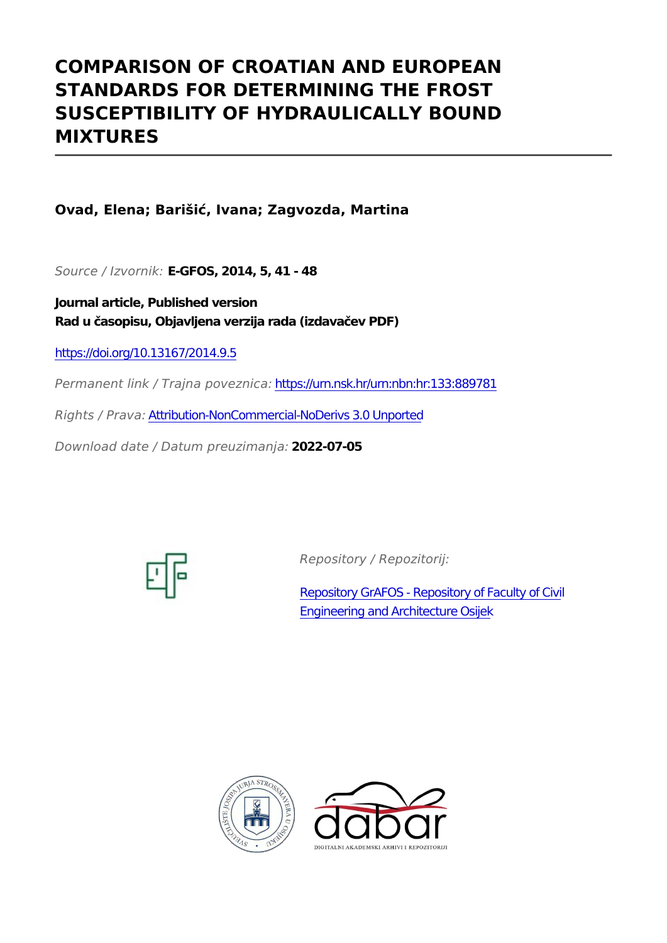# **COMPARISON OF CROATIAN AND EUROPEAN STANDARDS FOR DETERMINING THE FROST SUSCEPTIBILITY OF HYDRAULICALLY BOUND MIXTURES**

## **Ovad, Elena; Barišić, Ivana; Zagvozda, Martina**

*Source / Izvornik:* **E-GFOS, 2014, 5, 41 - 48**

**Journal article, Published version Rad u časopisu, Objavljena verzija rada (izdavačev PDF)**

<https://doi.org/10.13167/2014.9.5>

*Permanent link / Trajna poveznica:* <https://urn.nsk.hr/urn:nbn:hr:133:889781>

*Rights / Prava:* [Attribution-NonCommercial-NoDerivs 3.0 Unported](http://creativecommons.org/licenses/by-nc-nd/3.0/)

*Download date / Datum preuzimanja:* **2022-07-05**



*Repository / Repozitorij:*

[Repository GrAFOS - Repository of Faculty of Civi](https://repozitorij.gfos.hr)l [Engineering and Architecture Osijek](https://repozitorij.gfos.hr)



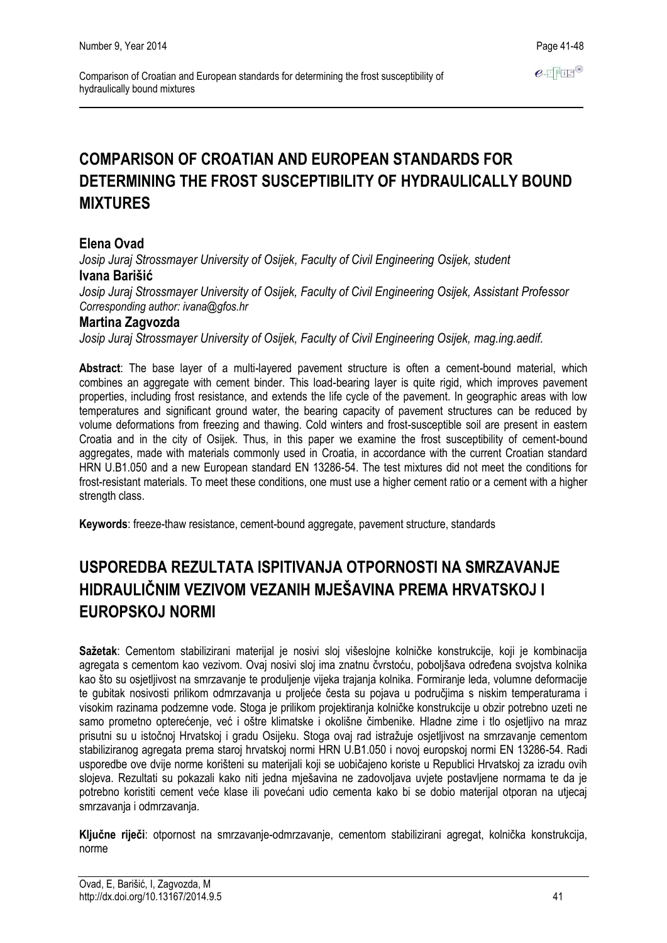## **COMPARISON OF CROATIAN AND EUROPEAN STANDARDS FOR DETERMINING THE FROST SUSCEPTIBILITY OF HYDRAULICALLY BOUND MIXTURES**

## **Elena Ovad**

*Josip Juraj Strossmayer University of Osijek, Faculty of Civil Engineering Osijek, student* **Ivana Barišić**

*Josip Juraj Strossmayer University of Osijek, Faculty of Civil Engineering Osijek, Assistant Professor Corresponding author: ivana@gfos.hr*

#### **Martina Zagvozda**

*Josip Juraj Strossmayer University of Osijek, Faculty of Civil Engineering Osijek, mag.ing.aedif.*

**Abstract**: The base layer of a multi-layered pavement structure is often a cement-bound material, which combines an aggregate with cement binder. This load-bearing layer is quite rigid, which improves pavement properties, including frost resistance, and extends the life cycle of the pavement. In geographic areas with low temperatures and significant ground water, the bearing capacity of pavement structures can be reduced by volume deformations from freezing and thawing. Cold winters and frost-susceptible soil are present in eastern Croatia and in the city of Osijek. Thus, in this paper we examine the frost susceptibility of cement-bound aggregates, made with materials commonly used in Croatia, in accordance with the current Croatian standard HRN U.B1.050 and a new European standard EN 13286-54. The test mixtures did not meet the conditions for frost-resistant materials. To meet these conditions, one must use a higher cement ratio or a cement with a higher strength class.

**Keywords**: freeze-thaw resistance, cement-bound aggregate, pavement structure, standards

## **USPOREDBA REZULTATA ISPITIVANJA OTPORNOSTI NA SMRZAVANJE HIDRAULIČNIM VEZIVOM VEZANIH MJEŠAVINA PREMA HRVATSKOJ I EUROPSKOJ NORMI**

**Sažetak**: Cementom stabilizirani materijal je nosivi sloj višeslojne kolničke konstrukcije, koji je kombinacija agregata s cementom kao vezivom. Ovaj nosivi sloj ima znatnu čvrstoću, poboljšava određena svojstva kolnika kao što su osjetljivost na smrzavanje te produljenje vijeka trajanja kolnika. Formiranje leda, volumne deformacije te gubitak nosivosti prilikom odmrzavanja u proljeće česta su pojava u područjima s niskim temperaturama i visokim razinama podzemne vode. Stoga je prilikom projektiranja kolničke konstrukcije u obzir potrebno uzeti ne samo prometno opterećenje, već i oštre klimatske i okolišne čimbenike. Hladne zime i tlo osjetljivo na mraz prisutni su u istočnoj Hrvatskoj i gradu Osijeku. Stoga ovaj rad istražuje osjetljivost na smrzavanje cementom stabiliziranog agregata prema staroj hrvatskoj normi HRN U.B1.050 i novoj europskoj normi EN 13286-54. Radi usporedbe ove dvije norme korišteni su materijali koji se uobičajeno koriste u Republici Hrvatskoj za izradu ovih slojeva. Rezultati su pokazali kako niti jedna mješavina ne zadovoljava uvjete postavljene normama te da je potrebno koristiti cement veće klase ili povećani udio cementa kako bi se dobio materijal otporan na utjecaj smrzavanja i odmrzavanja.

**Ključne riječi**: otpornost na smrzavanje-odmrzavanje, cementom stabilizirani agregat, kolnička konstrukcija, norme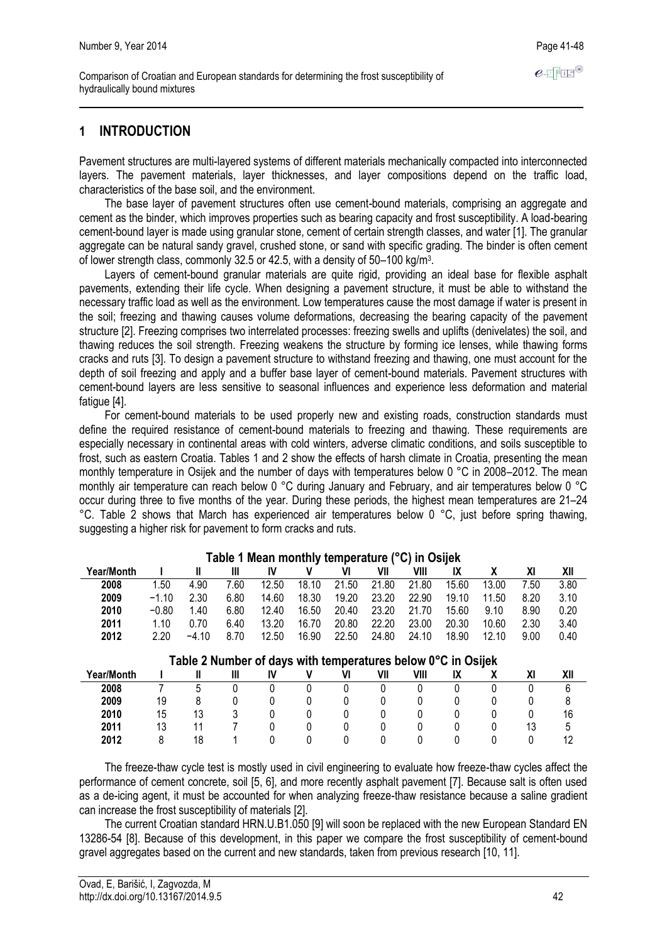## **1 INTRODUCTION**

Pavement structures are multi-layered systems of different materials mechanically compacted into interconnected layers. The pavement materials, layer thicknesses, and layer compositions depend on the traffic load, characteristics of the base soil, and the environment.

The base layer of pavement structures often use cement-bound materials, comprising an aggregate and cement as the binder, which improves properties such as bearing capacity and frost susceptibility. A load-bearing cement-bound layer is made using granular stone, cement of certain strength classes, and water [1]. The granular aggregate can be natural sandy gravel, crushed stone, or sand with specific grading. The binder is often cement of lower strength class, commonly 32.5 or 42.5, with a density of  $50-100$  kg/m<sup>3</sup>.

Layers of cement-bound granular materials are quite rigid, providing an ideal base for flexible asphalt pavements, extending their life cycle. When designing a pavement structure, it must be able to withstand the necessary traffic load as well as the environment. Low temperatures cause the most damage if water is present in the soil; freezing and thawing causes volume deformations, decreasing the bearing capacity of the pavement structure [2]. Freezing comprises two interrelated processes: freezing swells and uplifts (denivelates) the soil, and thawing reduces the soil strength. Freezing weakens the structure by forming ice lenses, while thawing forms cracks and ruts [3]. To design a pavement structure to withstand freezing and thawing, one must account for the depth of soil freezing and apply and a buffer base layer of cement-bound materials. Pavement structures with cement-bound layers are less sensitive to seasonal influences and experience less deformation and material fatigue [4].

For cement-bound materials to be used properly new and existing roads, construction standards must define the required resistance of cement-bound materials to freezing and thawing. These requirements are especially necessary in continental areas with cold winters, adverse climatic conditions, and soils susceptible to frost, such as eastern Croatia. Tables 1 and 2 show the effects of harsh climate in Croatia, presenting the mean monthly temperature in Osijek and the number of days with temperatures below 0 °C in 2008–2012. The mean monthly air temperature can reach below 0 °C during January and February, and air temperatures below 0 °C occur during three to five months of the year. During these periods, the highest mean temperatures are 21–24 °C. Table 2 shows that March has experienced air temperatures below 0 °C, just before spring thawing, suggesting a higher risk for pavement to form cracks and ruts.

| Table 1 Mean monthly temperature (°C) in Osijek |         |         |      |       |       |       |       |       |       |       |      |      |
|-------------------------------------------------|---------|---------|------|-------|-------|-------|-------|-------|-------|-------|------|------|
| Year/Month                                      |         |         | Ш    | IV    |       |       | VII   | VIII  | IX    |       | ΧI   | XII  |
| 2008                                            | 1.50    | 4.90    | 7.60 | 12.50 | 18.10 | 21.50 | 21.80 | 21.80 | 15.60 | 13.00 | 7.50 | 3.80 |
| 2009                                            | $-1.10$ | 2.30    | 6.80 | 14.60 | 18.30 | 19.20 | 23.20 | 22.90 | 19.10 | 11.50 | 8.20 | 3.10 |
| 2010                                            | $-0.80$ | 40. ا   | 6.80 | 12.40 | 16.50 | 20.40 | 23.20 | 21.70 | 15.60 | 9.10  | 8.90 | 0.20 |
| 2011                                            | 1.10    | 0.70    | 6.40 | 13.20 | 16.70 | 20.80 | 22.20 | 23.00 | 20.30 | 10.60 | 2.30 | 3.40 |
| 2012                                            | 2.20    | $-4.10$ | 8.70 | 12.50 | 16.90 | 22.50 | 24.80 | 24.10 | 18.90 | 12.10 | 9.00 | 0.40 |

#### **Table 1 Mean monthly temperature (°C) in Osijek**

| Table 2 Number of days with temperatures below 0°C in Osijek |    |    |  |  |  |  |     |      |    |  |     |
|--------------------------------------------------------------|----|----|--|--|--|--|-----|------|----|--|-----|
| Year/Month                                                   |    |    |  |  |  |  | VII | VIII | IX |  | XII |
| 2008                                                         |    |    |  |  |  |  |     |      |    |  |     |
| 2009                                                         | 19 |    |  |  |  |  |     |      |    |  |     |
| 2010                                                         | 15 | 13 |  |  |  |  |     |      |    |  | 16  |
| 2011                                                         | 13 |    |  |  |  |  |     |      |    |  |     |
| 2012                                                         |    | 18 |  |  |  |  |     |      |    |  |     |

The freeze-thaw cycle test is mostly used in civil engineering to evaluate how freeze-thaw cycles affect the performance of cement concrete, soil [5, 6], and more recently asphalt pavement [7]. Because salt is often used as a de-icing agent, it must be accounted for when analyzing freeze-thaw resistance because a saline gradient can increase the frost susceptibility of materials [2].

The current Croatian standard HRN.U.B1.050 [9] will soon be replaced with the new European Standard EN 13286-54 [8]. Because of this development, in this paper we compare the frost susceptibility of cement-bound gravel aggregates based on the current and new standards, taken from previous research [10, 11].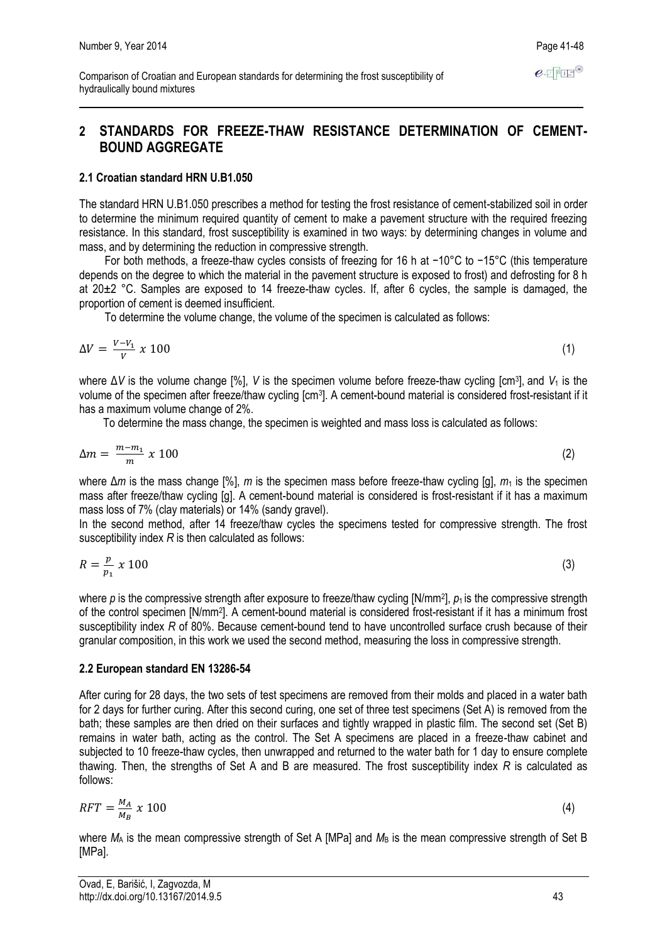## **2 STANDARDS FOR FREEZE-THAW RESISTANCE DETERMINATION OF CEMENT-BOUND AGGREGATE**

#### **2.1 Croatian standard HRN U.B1.050**

The standard HRN U.B1.050 prescribes a method for testing the frost resistance of cement-stabilized soil in order to determine the minimum required quantity of cement to make a pavement structure with the required freezing resistance. In this standard, frost susceptibility is examined in two ways: by determining changes in volume and mass, and by determining the reduction in compressive strength.

For both methods, a freeze-thaw cycles consists of freezing for 16 h at −10°C to −15°C (this temperature depends on the degree to which the material in the pavement structure is exposed to frost) and defrosting for 8 h at 20±2 °C. Samples are exposed to 14 freeze-thaw cycles. If, after 6 cycles, the sample is damaged, the proportion of cement is deemed insufficient.

To determine the volume change, the volume of the specimen is calculated as follows:

$$
\Delta V = \frac{V - V_1}{V} \times 100 \tag{1}
$$

where ΔV is the volume change [%], V is the specimen volume before freeze-thaw cycling [cm<sup>3</sup>], and V<sub>1</sub> is the volume of the specimen after freeze/thaw cycling [cm<sup>3</sup>]. A cement-bound material is considered frost-resistant if it has a maximum volume change of 2%.

To determine the mass change, the specimen is weighted and mass loss is calculated as follows:

$$
\Delta m = \frac{m - m_1}{m} \times 100 \tag{2}
$$

where Δ*m* is the mass change [%], *m* is the specimen mass before freeze-thaw cycling [g], *m*<sub>1</sub> is the specimen mass after freeze/thaw cycling [g]. A cement-bound material is considered is frost-resistant if it has a maximum mass loss of 7% (clay materials) or 14% (sandy gravel).

In the second method, after 14 freeze/thaw cycles the specimens tested for compressive strength. The frost susceptibility index *R* is then calculated as follows:

$$
R = \frac{p}{p_1} \times 100 \tag{3}
$$

where p is the compressive strength after exposure to freeze/thaw cycling [N/mm<sup>2</sup>],  $p_1$  is the compressive strength of the control specimen [N/mm<sup>2</sup> ]. A cement-bound material is considered frost-resistant if it has a minimum frost susceptibility index *R* of 80%. Because cement-bound tend to have uncontrolled surface crush because of their granular composition, in this work we used the second method, measuring the loss in compressive strength.

#### **2.2 European standard EN 13286-54**

After curing for 28 days, the two sets of test specimens are removed from their molds and placed in a water bath for 2 days for further curing. After this second curing, one set of three test specimens (Set A) is removed from the bath; these samples are then dried on their surfaces and tightly wrapped in plastic film. The second set (Set B) remains in water bath, acting as the control. The Set A specimens are placed in a freeze-thaw cabinet and subjected to 10 freeze-thaw cycles, then unwrapped and returned to the water bath for 1 day to ensure complete thawing. Then, the strengths of Set A and B are measured. The frost susceptibility index *R* is calculated as follows:

$$
RFT = \frac{M_A}{M_B} \times 100 \tag{4}
$$

where  $M_A$  is the mean compressive strength of Set A [MPa] and  $M_B$  is the mean compressive strength of Set B [MPa].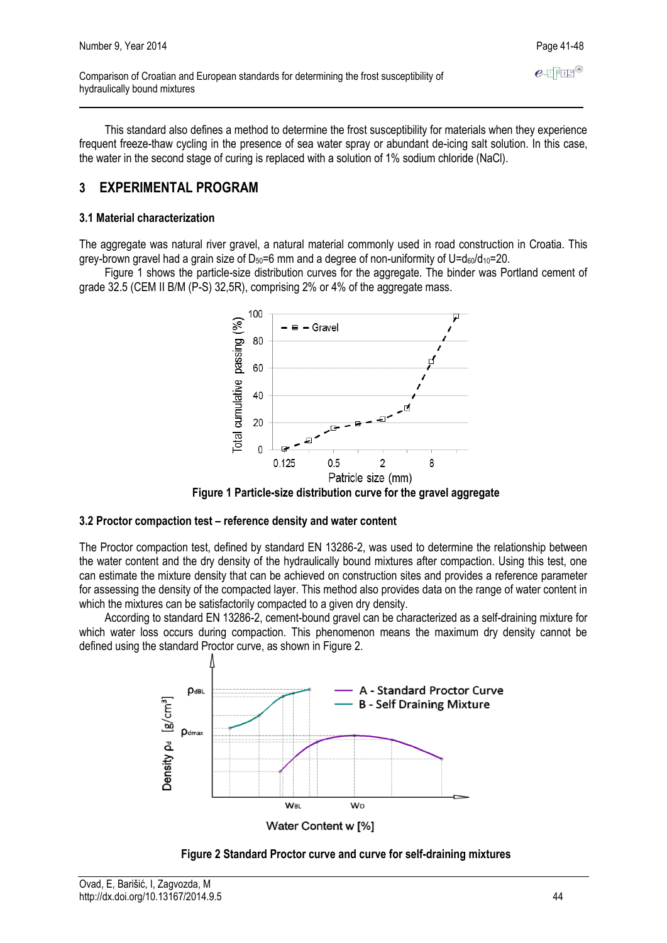This standard also defines a method to determine the frost susceptibility for materials when they experience frequent freeze-thaw cycling in the presence of sea water spray or abundant de-icing salt solution. In this case, the water in the second stage of curing is replaced with a solution of 1% sodium chloride (NaCl).

## **3 EXPERIMENTAL PROGRAM**

#### **3.1 Material characterization**

The aggregate was natural river gravel, a natural material commonly used in road construction in Croatia. This grey-brown gravel had a grain size of  $D_{50}=6$  mm and a degree of non-uniformity of U= $d_{60}/d_{10}=20$ .

Figure 1 shows the particle-size distribution curves for the aggregate. The binder was Portland cement of grade 32.5 (CEM II B/M (P-S) 32,5R), comprising 2% or 4% of the aggregate mass.



**Figure 1 Particle-size distribution curve for the gravel aggregate**

#### **3.2 Proctor compaction test – reference density and water content**

The Proctor compaction test, defined by standard EN 13286-2, was used to determine the relationship between the water content and the dry density of the hydraulically bound mixtures after compaction. Using this test, one can estimate the mixture density that can be achieved on construction sites and provides a reference parameter for assessing the density of the compacted layer. This method also provides data on the range of water content in which the mixtures can be satisfactorily compacted to a given dry density.

According to standard EN 13286-2, cement-bound gravel can be characterized as a self-draining mixture for which water loss occurs during compaction. This phenomenon means the maximum dry density cannot be defined using the standard Proctor curve, as shown in Figure 2.



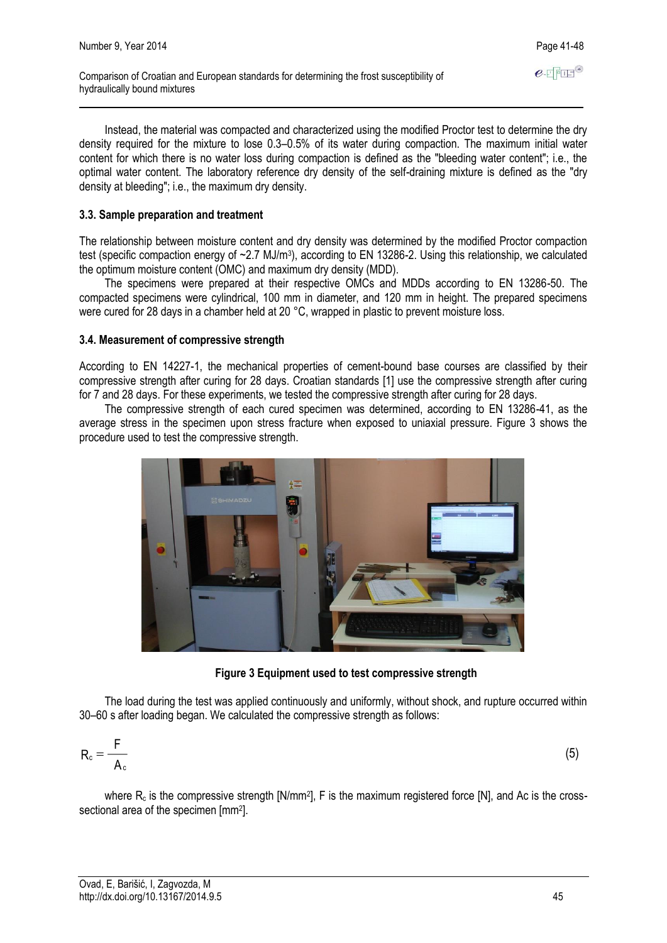Instead, the material was compacted and characterized using the modified Proctor test to determine the dry density required for the mixture to lose 0.3–0.5% of its water during compaction. The maximum initial water content for which there is no water loss during compaction is defined as the "bleeding water content"; i.e., the optimal water content. The laboratory reference dry density of the self-draining mixture is defined as the "dry density at bleeding"; i.e., the maximum dry density.

#### **3.3. Sample preparation and treatment**

The relationship between moisture content and dry density was determined by the modified Proctor compaction test (specific compaction energy of ~2.7 MJ/m<sup>3</sup>), according to EN 13286-2. Using this relationship, we calculated the optimum moisture content (OMC) and maximum dry density (MDD).

The specimens were prepared at their respective OMCs and MDDs according to EN 13286-50. The compacted specimens were cylindrical, 100 mm in diameter, and 120 mm in height. The prepared specimens were cured for 28 days in a chamber held at 20 °C, wrapped in plastic to prevent moisture loss.

#### **3.4. Measurement of compressive strength**

According to EN 14227-1, the mechanical properties of cement-bound base courses are classified by their compressive strength after curing for 28 days. Croatian standards [1] use the compressive strength after curing for 7 and 28 days. For these experiments, we tested the compressive strength after curing for 28 days.

The compressive strength of each cured specimen was determined, according to EN 13286-41, as the average stress in the specimen upon stress fracture when exposed to uniaxial pressure. Figure 3 shows the procedure used to test the compressive strength.



**Figure 3 Equipment used to test compressive strength**

The load during the test was applied continuously and uniformly, without shock, and rupture occurred within 30–60 s after loading began. We calculated the compressive strength as follows:

$$
R_c = \frac{F}{A_c} \tag{5}
$$

where  $R_c$  is the compressive strength [N/mm<sup>2</sup>], F is the maximum registered force [N], and Ac is the crosssectional area of the specimen [mm<sup>2</sup>].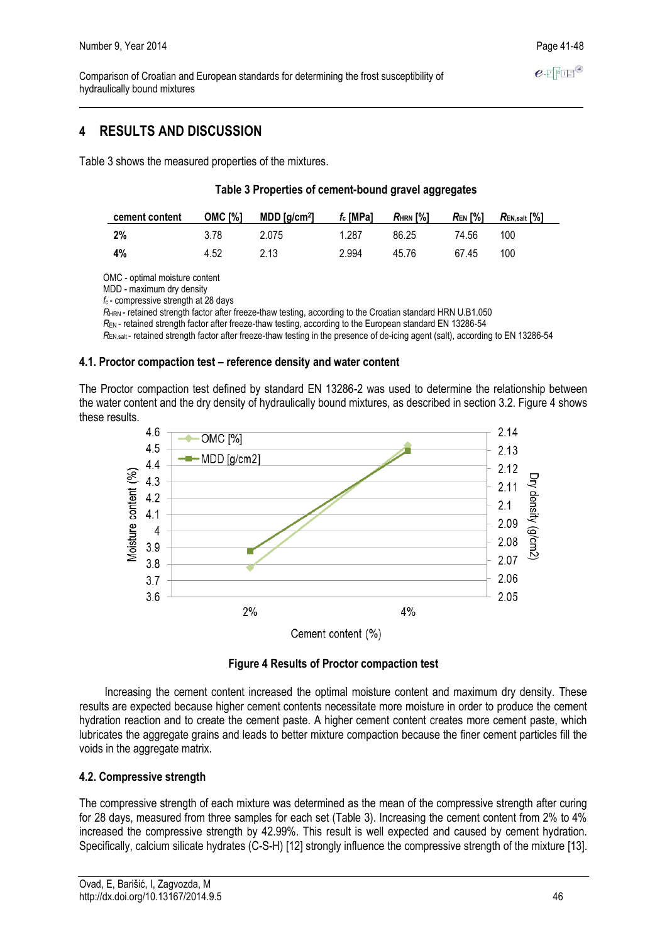$e$ -FFFF<sup>®</sup>

Comparison of Croatian and European standards for determining the frost susceptibility of hydraulically bound mixtures

## **4 RESULTS AND DISCUSSION**

Table 3 shows the measured properties of the mixtures.

#### **Table 3 Properties of cement-bound gravel aggregates**

| cement content | OMC [%] | $MDD$ [g/cm $^2$ ] | $f_c$ [MPa] | $R_{\rm HRN}$ [%] | Ren [%] | $R_{\mathsf{EN},\mathsf{salt}}\left[\% \right]$ |
|----------------|---------|--------------------|-------------|-------------------|---------|-------------------------------------------------|
| -2%            | 3.78    | 2.075              | 1.287       | 86.25             | 74.56   | 100                                             |
| 4%             | 4.52    | 2.13               | 2.994       | 45.76             | 67.45   | 100                                             |

OMC - optimal moisture content

MDD - maximum dry density

*f*c - compressive strength at 28 days

*R*HRN - retained strength factor after freeze-thaw testing, according to the Croatian standard HRN U.B1.050

*R*EN - retained strength factor after freeze-thaw testing, according to the European standard EN 13286-54

*R*EN,salt - retained strength factor after freeze-thaw testing in the presence of de-icing agent (salt), according to EN 13286-54

#### **4.1. Proctor compaction test – reference density and water content**

The Proctor compaction test defined by standard EN 13286-2 was used to determine the relationship between the water content and the dry density of hydraulically bound mixtures, as described in section 3.2. Figure 4 shows these results.



**Figure 4 Results of Proctor compaction test**

Increasing the cement content increased the optimal moisture content and maximum dry density. These results are expected because higher cement contents necessitate more moisture in order to produce the cement hydration reaction and to create the cement paste. A higher cement content creates more cement paste, which lubricates the aggregate grains and leads to better mixture compaction because the finer cement particles fill the voids in the aggregate matrix.

#### **4.2. Compressive strength**

The compressive strength of each mixture was determined as the mean of the compressive strength after curing for 28 days, measured from three samples for each set (Table 3). Increasing the cement content from 2% to 4% increased the compressive strength by 42.99%. This result is well expected and caused by cement hydration. Specifically, calcium silicate hydrates (C-S-H) [12] strongly influence the compressive strength of the mixture [13].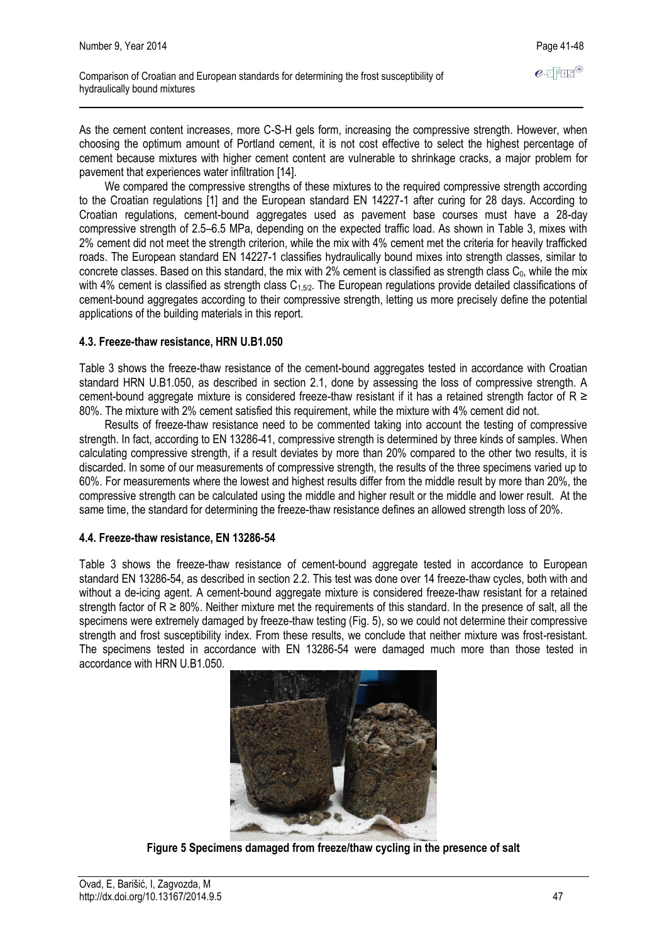As the cement content increases, more C-S-H gels form, increasing the compressive strength. However, when choosing the optimum amount of Portland cement, it is not cost effective to select the highest percentage of cement because mixtures with higher cement content are vulnerable to shrinkage cracks, a major problem for pavement that experiences water infiltration [14].

We compared the compressive strengths of these mixtures to the required compressive strength according to the Croatian regulations [1] and the European standard EN 14227-1 after curing for 28 days. According to Croatian regulations, cement-bound aggregates used as pavement base courses must have a 28-day compressive strength of 2.5–6.5 MPa, depending on the expected traffic load. As shown in Table 3, mixes with 2% cement did not meet the strength criterion, while the mix with 4% cement met the criteria for heavily trafficked roads. The European standard EN 14227-1 classifies hydraulically bound mixes into strength classes, similar to concrete classes. Based on this standard, the mix with 2% cement is classified as strength class  $C_0$ , while the mix with 4% cement is classified as strength class  $C_{1,5/2}$ . The European regulations provide detailed classifications of cement-bound aggregates according to their compressive strength, letting us more precisely define the potential applications of the building materials in this report.

#### **4.3. Freeze-thaw resistance, HRN U.B1.050**

Table 3 shows the freeze-thaw resistance of the cement-bound aggregates tested in accordance with Croatian standard HRN U.B1.050, as described in section 2.1, done by assessing the loss of compressive strength. A cement-bound aggregate mixture is considered freeze-thaw resistant if it has a retained strength factor of  $R \ge$ 80%. The mixture with 2% cement satisfied this requirement, while the mixture with 4% cement did not.

Results of freeze-thaw resistance need to be commented taking into account the testing of compressive strength. In fact, according to EN 13286-41, compressive strength is determined by three kinds of samples. When calculating compressive strength, if a result deviates by more than 20% compared to the other two results, it is discarded. In some of our measurements of compressive strength, the results of the three specimens varied up to 60%. For measurements where the lowest and highest results differ from the middle result by more than 20%, the compressive strength can be calculated using the middle and higher result or the middle and lower result. At the same time, the standard for determining the freeze-thaw resistance defines an allowed strength loss of 20%.

#### **4.4. Freeze-thaw resistance, EN 13286-54**

Table 3 shows the freeze-thaw resistance of cement-bound aggregate tested in accordance to European standard EN 13286-54, as described in section 2.2. This test was done over 14 freeze-thaw cycles, both with and without a de-icing agent. A cement-bound aggregate mixture is considered freeze-thaw resistant for a retained strength factor of  $R \ge 80\%$ . Neither mixture met the requirements of this standard. In the presence of salt, all the specimens were extremely damaged by freeze-thaw testing (Fig. 5), so we could not determine their compressive strength and frost susceptibility index. From these results, we conclude that neither mixture was frost-resistant. The specimens tested in accordance with EN 13286-54 were damaged much more than those tested in accordance with HRN U.B1.050.



**Figure 5 Specimens damaged from freeze/thaw cycling in the presence of salt**